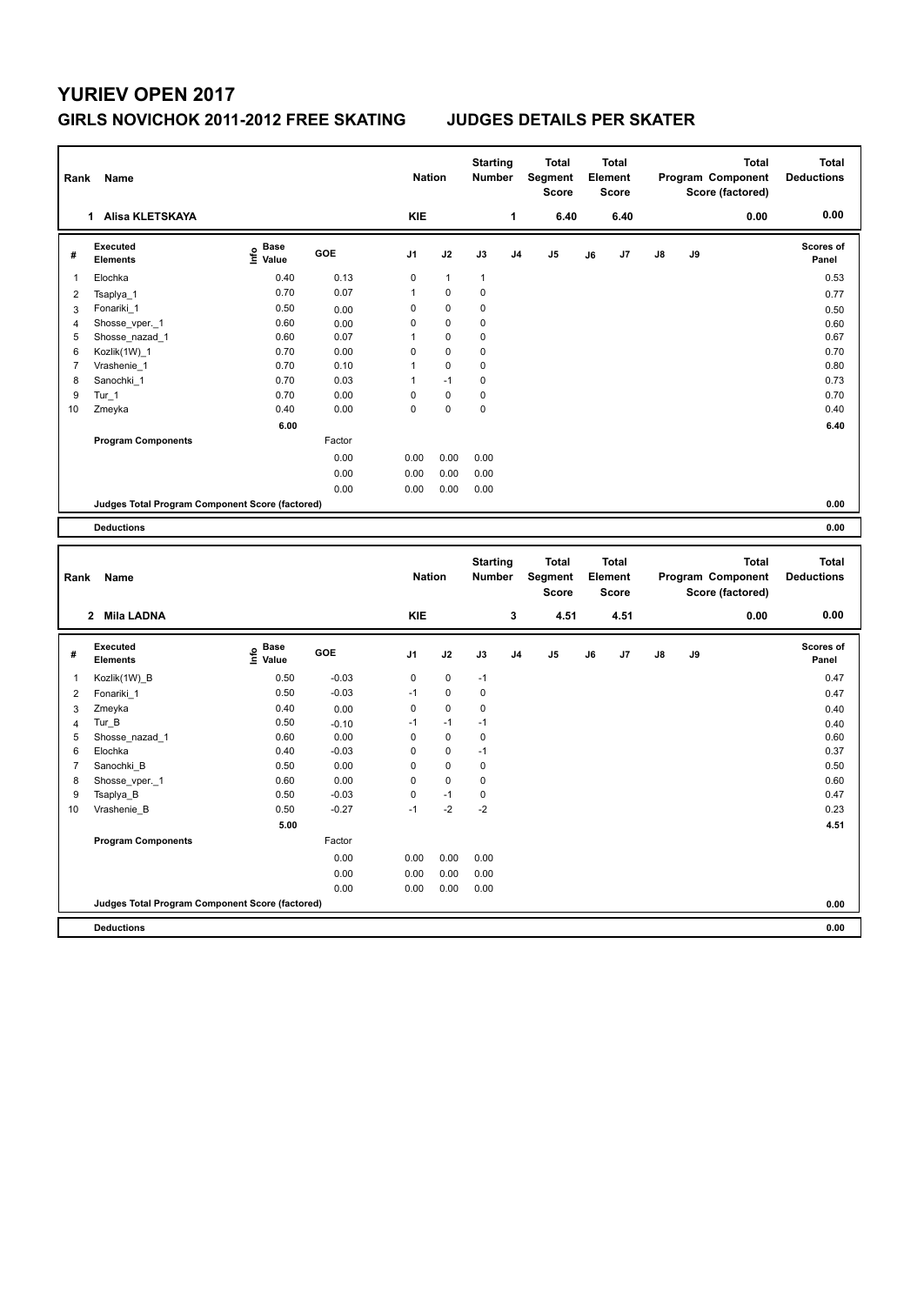## **YURIEV OPEN 2017 GIRLS NOVICHOK 2011-2012 FREE SKATING JUDGES DETAILS PER SKATER**

| Rank                         | Name                                            |                                           |                 | <b>Nation</b>  |              | <b>Starting</b><br><b>Number</b> |                | <b>Total</b><br><b>Segment</b><br><b>Score</b> |    | <b>Total</b><br>Element<br><b>Score</b> |    |    | <b>Total</b><br>Program Component<br>Score (factored) | <b>Total</b><br><b>Deductions</b> |
|------------------------------|-------------------------------------------------|-------------------------------------------|-----------------|----------------|--------------|----------------------------------|----------------|------------------------------------------------|----|-----------------------------------------|----|----|-------------------------------------------------------|-----------------------------------|
|                              | 1 Alisa KLETSKAYA                               |                                           |                 | <b>KIE</b>     |              |                                  | 1              | 6.40                                           |    | 6.40                                    |    |    | 0.00                                                  | 0.00                              |
| #                            | Executed<br><b>Elements</b>                     | e Base<br>E Value                         | GOE             | J <sub>1</sub> | J2           | J3                               | J4             | J <sub>5</sub>                                 | J6 | J7                                      | J8 | J9 |                                                       | <b>Scores of</b><br>Panel         |
| $\mathbf{1}$                 | Elochka                                         | 0.40                                      | 0.13            | $\mathbf 0$    | $\mathbf{1}$ | 1                                |                |                                                |    |                                         |    |    |                                                       | 0.53                              |
| $\overline{2}$               | Tsaplya 1                                       | 0.70                                      | 0.07            | $\mathbf{1}$   | 0            | 0                                |                |                                                |    |                                         |    |    |                                                       | 0.77                              |
| 3                            | Fonariki 1                                      | 0.50                                      | 0.00            | 0              | 0            | 0                                |                |                                                |    |                                         |    |    |                                                       | 0.50                              |
| $\overline{4}$               | Shosse_vper._1                                  | 0.60                                      | 0.00            | $\mathbf 0$    | $\pmb{0}$    | 0                                |                |                                                |    |                                         |    |    |                                                       | 0.60                              |
| 5                            | Shosse_nazad_1                                  | 0.60                                      | 0.07            | $\mathbf{1}$   | 0            | 0                                |                |                                                |    |                                         |    |    |                                                       | 0.67                              |
| 6                            | Kozlik(1W)_1                                    | 0.70                                      | 0.00            | $\mathbf 0$    | 0            | 0                                |                |                                                |    |                                         |    |    |                                                       | 0.70                              |
| $\overline{7}$               | Vrashenie_1                                     | 0.70                                      | 0.10            | $\mathbf{1}$   | 0            | 0                                |                |                                                |    |                                         |    |    |                                                       | 0.80                              |
| 8                            | Sanochki_1                                      | 0.70                                      | 0.03            | $\mathbf{1}$   | $-1$         | 0                                |                |                                                |    |                                         |    |    |                                                       | 0.73                              |
| 9                            | $Tur_1$                                         | 0.70                                      | 0.00            | $\mathbf 0$    | $\pmb{0}$    | 0                                |                |                                                |    |                                         |    |    |                                                       | 0.70                              |
| 10                           | Zmeyka                                          | 0.40                                      | 0.00            | $\Omega$       | $\mathbf{0}$ | 0                                |                |                                                |    |                                         |    |    |                                                       | 0.40                              |
|                              |                                                 | 6.00                                      |                 |                |              |                                  |                |                                                |    |                                         |    |    |                                                       | 6.40                              |
|                              | <b>Program Components</b>                       |                                           | Factor          |                |              |                                  |                |                                                |    |                                         |    |    |                                                       |                                   |
|                              |                                                 |                                           | 0.00            | 0.00           | 0.00         | 0.00                             |                |                                                |    |                                         |    |    |                                                       |                                   |
|                              |                                                 |                                           | 0.00            | 0.00           | 0.00         | 0.00                             |                |                                                |    |                                         |    |    |                                                       |                                   |
|                              |                                                 |                                           | 0.00            | 0.00           | 0.00         | 0.00                             |                |                                                |    |                                         |    |    |                                                       |                                   |
|                              | Judges Total Program Component Score (factored) |                                           |                 |                |              |                                  |                |                                                |    |                                         |    |    |                                                       | 0.00                              |
|                              | <b>Deductions</b>                               |                                           |                 |                |              |                                  |                |                                                |    |                                         |    |    |                                                       | 0.00                              |
|                              |                                                 |                                           |                 |                |              |                                  |                |                                                |    |                                         |    |    |                                                       |                                   |
|                              |                                                 |                                           |                 |                |              |                                  |                |                                                |    |                                         |    |    |                                                       |                                   |
| Rank                         | Name                                            |                                           |                 | <b>Nation</b>  |              | <b>Starting</b><br><b>Number</b> |                | <b>Total</b><br>Segment<br><b>Score</b>        |    | <b>Total</b><br>Element<br><b>Score</b> |    |    | <b>Total</b><br>Program Component<br>Score (factored) | <b>Total</b><br><b>Deductions</b> |
|                              | 2 Mila LADNA                                    |                                           |                 | <b>KIE</b>     |              |                                  | 3              | 4.51                                           |    | 4.51                                    |    |    | 0.00                                                  | 0.00                              |
| #                            | <b>Executed</b><br><b>Elements</b>              | $\frac{6}{5}$ Base<br>$\frac{1}{5}$ Value | GOE             | J <sub>1</sub> | J2           | J3                               | J <sub>4</sub> | J <sub>5</sub>                                 | J6 | J7                                      | J8 | J9 |                                                       | Scores of<br>Panel                |
| 1                            | Kozlik(1W)_B                                    | 0.50                                      | $-0.03$         | $\mathbf 0$    | 0            | $-1$                             |                |                                                |    |                                         |    |    |                                                       | 0.47                              |
| $\overline{2}$               |                                                 | 0.50                                      | $-0.03$         | $-1$           | 0            | 0                                |                |                                                |    |                                         |    |    |                                                       | 0.47                              |
|                              | Fonariki 1                                      | 0.40                                      |                 | $\mathbf 0$    | $\pmb{0}$    | 0                                |                |                                                |    |                                         |    |    |                                                       |                                   |
| 3                            | Zmeyka                                          | 0.50                                      | 0.00            | $-1$           | $-1$         | $-1$                             |                |                                                |    |                                         |    |    |                                                       | 0.40                              |
| $\overline{\mathbf{4}}$<br>5 | $Tur_B$                                         | 0.60                                      | $-0.10$<br>0.00 | $\mathbf 0$    | $\Omega$     | 0                                |                |                                                |    |                                         |    |    |                                                       | 0.40<br>0.60                      |
| 6                            | Shosse_nazad_1<br>Elochka                       | 0.40                                      | $-0.03$         | $\mathbf 0$    | 0            | $-1$                             |                |                                                |    |                                         |    |    |                                                       | 0.37                              |
| $\overline{7}$               |                                                 | 0.50                                      | 0.00            | $\mathbf 0$    | 0            | 0                                |                |                                                |    |                                         |    |    |                                                       | 0.50                              |
| 8                            | Sanochki_B                                      | 0.60                                      | 0.00            | $\mathbf 0$    | 0            | 0                                |                |                                                |    |                                         |    |    |                                                       | 0.60                              |
| 9                            | Shosse_vper._1                                  | 0.50                                      | $-0.03$         | $\mathbf 0$    | $-1$         | 0                                |                |                                                |    |                                         |    |    |                                                       | 0.47                              |
| 10                           | Tsaplya_B<br>Vrashenie_B                        | 0.50                                      | $-0.27$         | $-1$           | $-2$         | $-2$                             |                |                                                |    |                                         |    |    |                                                       | 0.23                              |
|                              |                                                 | 5.00                                      |                 |                |              |                                  |                |                                                |    |                                         |    |    |                                                       | 4.51                              |
|                              | <b>Program Components</b>                       |                                           | Factor          |                |              |                                  |                |                                                |    |                                         |    |    |                                                       |                                   |
|                              |                                                 |                                           |                 |                |              |                                  |                |                                                |    |                                         |    |    |                                                       |                                   |
|                              |                                                 |                                           | 0.00            | 0.00           | 0.00         | 0.00                             |                |                                                |    |                                         |    |    |                                                       |                                   |
|                              |                                                 |                                           | 0.00            | 0.00           | 0.00         | 0.00                             |                |                                                |    |                                         |    |    |                                                       |                                   |
|                              | Judges Total Program Component Score (factored) |                                           | 0.00            | 0.00           | 0.00         | 0.00                             |                |                                                |    |                                         |    |    |                                                       | 0.00                              |